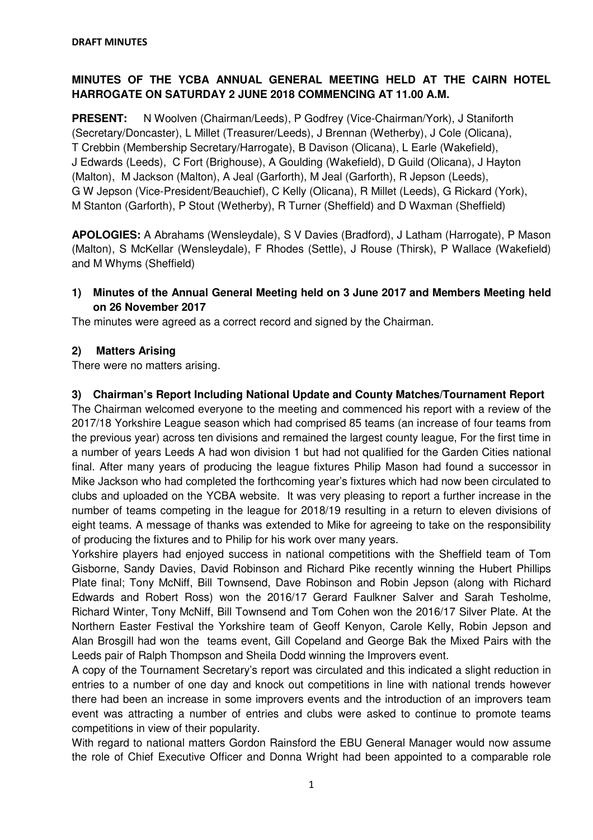# **MINUTES OF THE YCBA ANNUAL GENERAL MEETING HELD AT THE CAIRN HOTEL HARROGATE ON SATURDAY 2 JUNE 2018 COMMENCING AT 11.00 A.M.**

**PRESENT:** N Woolven (Chairman/Leeds), P Godfrey (Vice-Chairman/York), J Staniforth (Secretary/Doncaster), L Millet (Treasurer/Leeds), J Brennan (Wetherby), J Cole (Olicana), T Crebbin (Membership Secretary/Harrogate), B Davison (Olicana), L Earle (Wakefield), J Edwards (Leeds), C Fort (Brighouse), A Goulding (Wakefield), D Guild (Olicana), J Hayton (Malton), M Jackson (Malton), A Jeal (Garforth), M Jeal (Garforth), R Jepson (Leeds), G W Jepson (Vice-President/Beauchief), C Kelly (Olicana), R Millet (Leeds), G Rickard (York), M Stanton (Garforth), P Stout (Wetherby), R Turner (Sheffield) and D Waxman (Sheffield)

**APOLOGIES:** A Abrahams (Wensleydale), S V Davies (Bradford), J Latham (Harrogate), P Mason (Malton), S McKellar (Wensleydale), F Rhodes (Settle), J Rouse (Thirsk), P Wallace (Wakefield) and M Whyms (Sheffield)

**1) Minutes of the Annual General Meeting held on 3 June 2017 and Members Meeting held on 26 November 2017** 

The minutes were agreed as a correct record and signed by the Chairman.

## **2) Matters Arising**

There were no matters arising.

### **3) Chairman's Report Including National Update and County Matches/Tournament Report**

The Chairman welcomed everyone to the meeting and commenced his report with a review of the 2017/18 Yorkshire League season which had comprised 85 teams (an increase of four teams from the previous year) across ten divisions and remained the largest county league, For the first time in a number of years Leeds A had won division 1 but had not qualified for the Garden Cities national final. After many years of producing the league fixtures Philip Mason had found a successor in Mike Jackson who had completed the forthcoming year's fixtures which had now been circulated to clubs and uploaded on the YCBA website. It was very pleasing to report a further increase in the number of teams competing in the league for 2018/19 resulting in a return to eleven divisions of eight teams. A message of thanks was extended to Mike for agreeing to take on the responsibility of producing the fixtures and to Philip for his work over many years.

Yorkshire players had enjoyed success in national competitions with the Sheffield team of Tom Gisborne, Sandy Davies, David Robinson and Richard Pike recently winning the Hubert Phillips Plate final; Tony McNiff, Bill Townsend, Dave Robinson and Robin Jepson (along with Richard Edwards and Robert Ross) won the 2016/17 Gerard Faulkner Salver and Sarah Tesholme, Richard Winter, Tony McNiff, Bill Townsend and Tom Cohen won the 2016/17 Silver Plate. At the Northern Easter Festival the Yorkshire team of Geoff Kenyon, Carole Kelly, Robin Jepson and Alan Brosgill had won the teams event, Gill Copeland and George Bak the Mixed Pairs with the Leeds pair of Ralph Thompson and Sheila Dodd winning the Improvers event.

A copy of the Tournament Secretary's report was circulated and this indicated a slight reduction in entries to a number of one day and knock out competitions in line with national trends however there had been an increase in some improvers events and the introduction of an improvers team event was attracting a number of entries and clubs were asked to continue to promote teams competitions in view of their popularity.

With regard to national matters Gordon Rainsford the EBU General Manager would now assume the role of Chief Executive Officer and Donna Wright had been appointed to a comparable role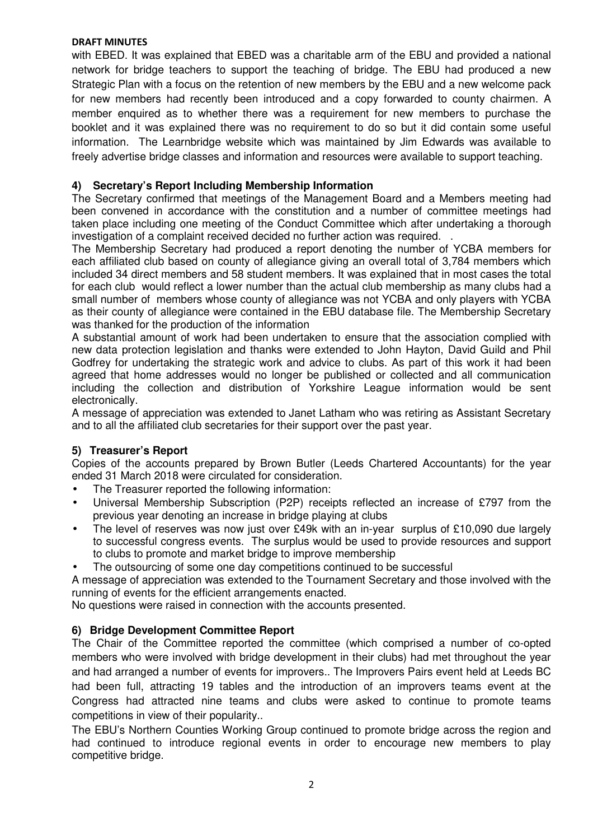#### **DRAFT MINUTES**

with EBED. It was explained that EBED was a charitable arm of the EBU and provided a national network for bridge teachers to support the teaching of bridge. The EBU had produced a new Strategic Plan with a focus on the retention of new members by the EBU and a new welcome pack for new members had recently been introduced and a copy forwarded to county chairmen. A member enquired as to whether there was a requirement for new members to purchase the booklet and it was explained there was no requirement to do so but it did contain some useful information. The Learnbridge website which was maintained by Jim Edwards was available to freely advertise bridge classes and information and resources were available to support teaching.

## **4) Secretary's Report Including Membership Information**

The Secretary confirmed that meetings of the Management Board and a Members meeting had been convened in accordance with the constitution and a number of committee meetings had taken place including one meeting of the Conduct Committee which after undertaking a thorough investigation of a complaint received decided no further action was required. .

The Membership Secretary had produced a report denoting the number of YCBA members for each affiliated club based on county of allegiance giving an overall total of 3,784 members which included 34 direct members and 58 student members. It was explained that in most cases the total for each club would reflect a lower number than the actual club membership as many clubs had a small number of members whose county of allegiance was not YCBA and only players with YCBA as their county of allegiance were contained in the EBU database file. The Membership Secretary was thanked for the production of the information

A substantial amount of work had been undertaken to ensure that the association complied with new data protection legislation and thanks were extended to John Hayton, David Guild and Phil Godfrey for undertaking the strategic work and advice to clubs. As part of this work it had been agreed that home addresses would no longer be published or collected and all communication including the collection and distribution of Yorkshire League information would be sent electronically.

A message of appreciation was extended to Janet Latham who was retiring as Assistant Secretary and to all the affiliated club secretaries for their support over the past year.

#### **5) Treasurer's Report**

Copies of the accounts prepared by Brown Butler (Leeds Chartered Accountants) for the year ended 31 March 2018 were circulated for consideration.

- The Treasurer reported the following information:
- Universal Membership Subscription (P2P) receipts reflected an increase of £797 from the previous year denoting an increase in bridge playing at clubs
- The level of reserves was now just over £49k with an in-year surplus of £10,090 due largely to successful congress events. The surplus would be used to provide resources and support to clubs to promote and market bridge to improve membership
- The outsourcing of some one day competitions continued to be successful

A message of appreciation was extended to the Tournament Secretary and those involved with the running of events for the efficient arrangements enacted.

No questions were raised in connection with the accounts presented.

#### **6) Bridge Development Committee Report**

The Chair of the Committee reported the committee (which comprised a number of co-opted members who were involved with bridge development in their clubs) had met throughout the year and had arranged a number of events for improvers.. The Improvers Pairs event held at Leeds BC had been full, attracting 19 tables and the introduction of an improvers teams event at the Congress had attracted nine teams and clubs were asked to continue to promote teams competitions in view of their popularity..

The EBU's Northern Counties Working Group continued to promote bridge across the region and had continued to introduce regional events in order to encourage new members to play competitive bridge.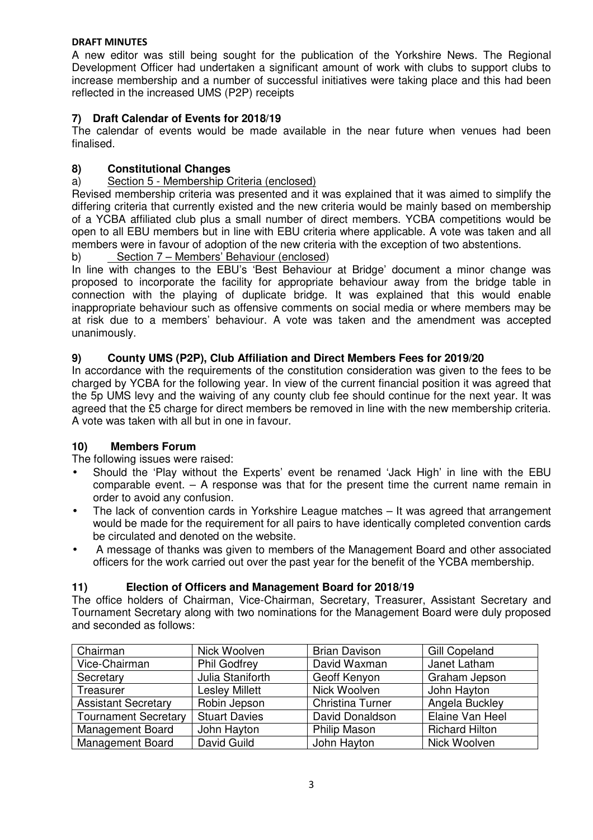### **DRAFT MINUTES**

A new editor was still being sought for the publication of the Yorkshire News. The Regional Development Officer had undertaken a significant amount of work with clubs to support clubs to increase membership and a number of successful initiatives were taking place and this had been reflected in the increased UMS (P2P) receipts

# **7) Draft Calendar of Events for 2018/19**

The calendar of events would be made available in the near future when venues had been finalised.

# **8) Constitutional Changes**

## a) Section 5 - Membership Criteria (enclosed)

Revised membership criteria was presented and it was explained that it was aimed to simplify the differing criteria that currently existed and the new criteria would be mainly based on membership of a YCBA affiliated club plus a small number of direct members. YCBA competitions would be open to all EBU members but in line with EBU criteria where applicable. A vote was taken and all members were in favour of adoption of the new criteria with the exception of two abstentions.

# b) Section 7 – Members' Behaviour (enclosed)

In line with changes to the EBU's 'Best Behaviour at Bridge' document a minor change was proposed to incorporate the facility for appropriate behaviour away from the bridge table in connection with the playing of duplicate bridge. It was explained that this would enable inappropriate behaviour such as offensive comments on social media or where members may be at risk due to a members' behaviour. A vote was taken and the amendment was accepted unanimously.

## **9) County UMS (P2P), Club Affiliation and Direct Members Fees for 2019/20**

In accordance with the requirements of the constitution consideration was given to the fees to be charged by YCBA for the following year. In view of the current financial position it was agreed that the 5p UMS levy and the waiving of any county club fee should continue for the next year. It was agreed that the £5 charge for direct members be removed in line with the new membership criteria. A vote was taken with all but in one in favour.

#### **10) Members Forum**

The following issues were raised:

- Should the 'Play without the Experts' event be renamed 'Jack High' in line with the EBU comparable event. – A response was that for the present time the current name remain in order to avoid any confusion.
- The lack of convention cards in Yorkshire League matches It was agreed that arrangement would be made for the requirement for all pairs to have identically completed convention cards be circulated and denoted on the website.
- A message of thanks was given to members of the Management Board and other associated officers for the work carried out over the past year for the benefit of the YCBA membership.

#### **11) Election of Officers and Management Board for 2018/19**

The office holders of Chairman, Vice-Chairman, Secretary, Treasurer, Assistant Secretary and Tournament Secretary along with two nominations for the Management Board were duly proposed and seconded as follows:

| Chairman                    | Nick Woolven          | <b>Brian Davison</b> | <b>Gill Copeland</b>  |
|-----------------------------|-----------------------|----------------------|-----------------------|
| Vice-Chairman               | <b>Phil Godfrey</b>   | David Waxman         | Janet Latham          |
| Secretary                   | Julia Staniforth      | Geoff Kenyon         | Graham Jepson         |
| Treasurer                   | <b>Lesley Millett</b> | Nick Woolven         | John Hayton           |
| <b>Assistant Secretary</b>  | Robin Jepson          | Christina Turner     | Angela Buckley        |
| <b>Tournament Secretary</b> | <b>Stuart Davies</b>  | David Donaldson      | Elaine Van Heel       |
| <b>Management Board</b>     | John Hayton           | Philip Mason         | <b>Richard Hilton</b> |
| <b>Management Board</b>     | David Guild           | John Hayton          | Nick Woolven          |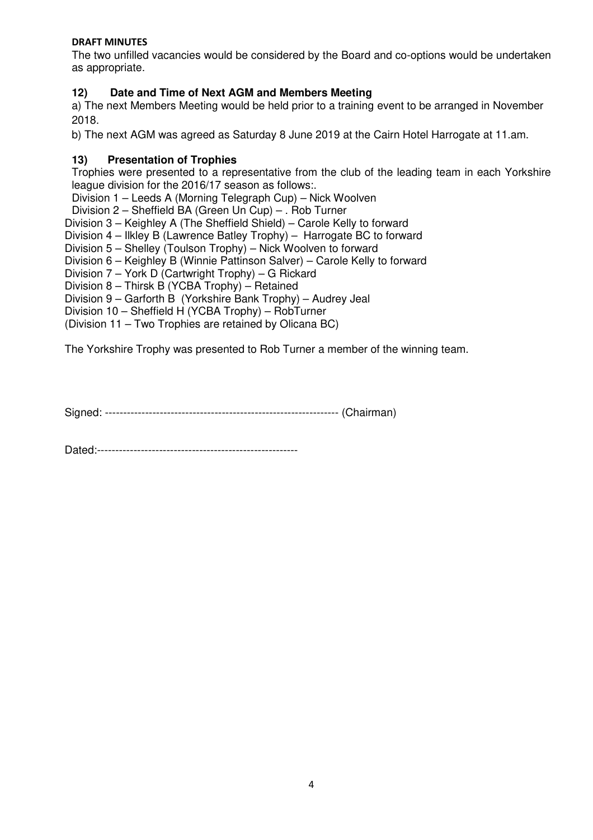### **DRAFT MINUTES**

The two unfilled vacancies would be considered by the Board and co-options would be undertaken as appropriate.

## **12) Date and Time of Next AGM and Members Meeting**

a) The next Members Meeting would be held prior to a training event to be arranged in November 2018.

b) The next AGM was agreed as Saturday 8 June 2019 at the Cairn Hotel Harrogate at 11.am.

### **13) Presentation of Trophies**

Trophies were presented to a representative from the club of the leading team in each Yorkshire league division for the 2016/17 season as follows:.

Division 1 – Leeds A (Morning Telegraph Cup) – Nick Woolven

Division 2 – Sheffield BA (Green Un Cup) – . Rob Turner

Division 3 – Keighley A (The Sheffield Shield) – Carole Kelly to forward

Division 4 – Ilkley B (Lawrence Batley Trophy) – Harrogate BC to forward

Division 5 – Shelley (Toulson Trophy) – Nick Woolven to forward

Division 6 – Keighley B (Winnie Pattinson Salver) – Carole Kelly to forward

Division 7 – York D (Cartwright Trophy) – G Rickard

Division 8 – Thirsk B (YCBA Trophy) – Retained

Division 9 – Garforth B (Yorkshire Bank Trophy) – Audrey Jeal

Division 10 – Sheffield H (YCBA Trophy) – RobTurner

(Division 11 – Two Trophies are retained by Olicana BC)

The Yorkshire Trophy was presented to Rob Turner a member of the winning team.

Signed: ---------------------------------------------------------------- (Chairman)

Dated:-------------------------------------------------------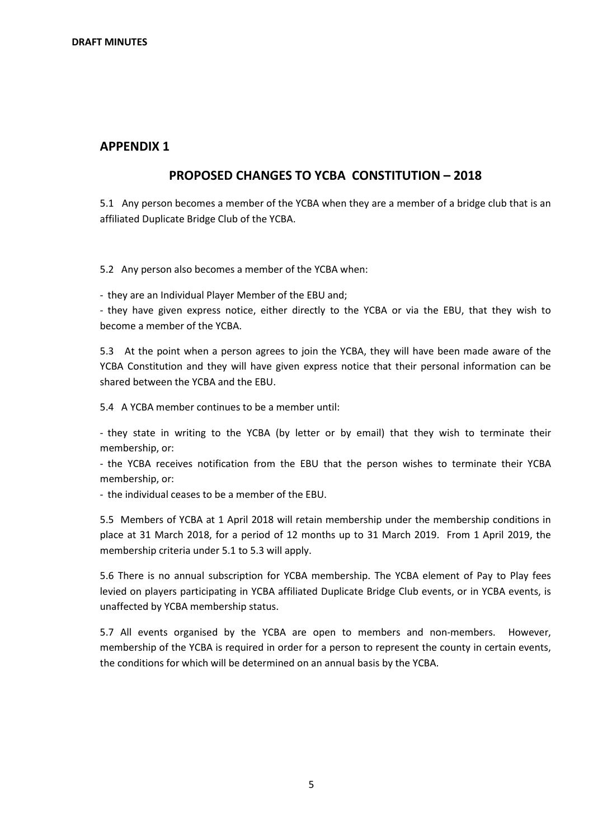#### **APPENDIX 1**

#### **PROPOSED CHANGES TO YCBA CONSTITUTION – 2018**

5.1 Any person becomes a member of the YCBA when they are a member of a bridge club that is an affiliated Duplicate Bridge Club of the YCBA.

5.2 Any person also becomes a member of the YCBA when:

- they are an Individual Player Member of the EBU and;

- they have given express notice, either directly to the YCBA or via the EBU, that they wish to become a member of the YCBA.

5.3 At the point when a person agrees to join the YCBA, they will have been made aware of the YCBA Constitution and they will have given express notice that their personal information can be shared between the YCBA and the EBU.

5.4 A YCBA member continues to be a member until:

- they state in writing to the YCBA (by letter or by email) that they wish to terminate their membership, or:

- the YCBA receives notification from the EBU that the person wishes to terminate their YCBA membership, or:

- the individual ceases to be a member of the EBU.

5.5 Members of YCBA at 1 April 2018 will retain membership under the membership conditions in place at 31 March 2018, for a period of 12 months up to 31 March 2019. From 1 April 2019, the membership criteria under 5.1 to 5.3 will apply.

5.6 There is no annual subscription for YCBA membership. The YCBA element of Pay to Play fees levied on players participating in YCBA affiliated Duplicate Bridge Club events, or in YCBA events, is unaffected by YCBA membership status.

5.7 All events organised by the YCBA are open to members and non-members. However, membership of the YCBA is required in order for a person to represent the county in certain events, the conditions for which will be determined on an annual basis by the YCBA.